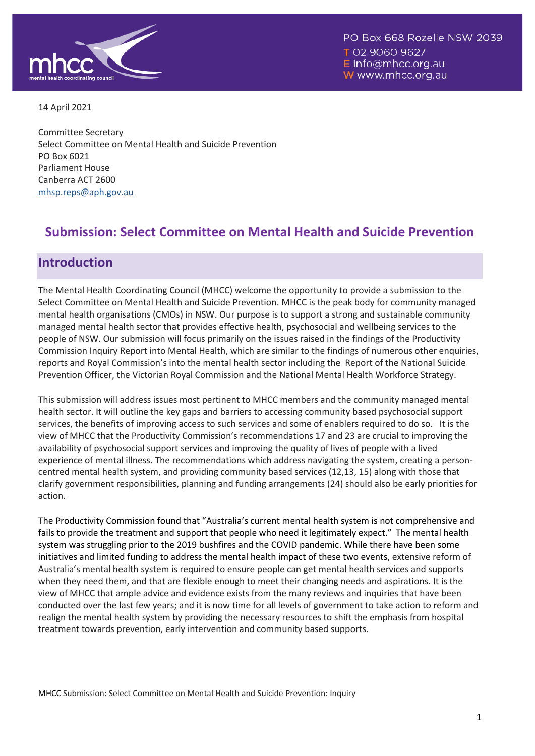

14 April 2021

Committee Secretary Select Committee on Mental Health and Suicide Prevention PO Box 6021 Parliament House Canberra ACT 2600 [mhsp.reps@aph.gov.au](mailto:mhsp.reps@aph.gov.au)

# **Submission: Select Committee on Mental Health and Suicide Prevention**

# **Introduction**

The Mental Health Coordinating Council (MHCC) welcome the opportunity to provide a submission to the Select Committee on Mental Health and Suicide Prevention. MHCC is the peak body for community managed mental health organisations (CMOs) in NSW. Our purpose is to support a strong and sustainable community managed mental health sector that provides effective health, psychosocial and wellbeing services to the people of NSW. Our submission will focus primarily on the issues raised in the findings of the Productivity Commission Inquiry Report into Mental Health, which are similar to the findings of numerous other enquiries, reports and Royal Commission's into the mental health sector including the Report of the National Suicide Prevention Officer, the Victorian Royal Commission and the National Mental Health Workforce Strategy.

This submission will address issues most pertinent to MHCC members and the community managed mental health sector. It will outline the key gaps and barriers to accessing community based psychosocial support services, the benefits of improving access to such services and some of enablers required to do so. It is the view of MHCC that the Productivity Commission's recommendations 17 and 23 are crucial to improving the availability of psychosocial support services and improving the quality of lives of people with a lived experience of mental illness. The recommendations which address navigating the system, creating a personcentred mental health system, and providing community based services (12,13, 15) along with those that clarify government responsibilities, planning and funding arrangements (24) should also be early priorities for action.

The Productivity Commission found that "Australia's current mental health system is not comprehensive and fails to provide the treatment and support that people who need it legitimately expect." The mental health system was struggling prior to the 2019 bushfires and the COVID pandemic. While there have been some initiatives and limited funding to address the mental health impact of these two events, extensive reform of Australia's mental health system is required to ensure people can get mental health services and supports when they need them, and that are flexible enough to meet their changing needs and aspirations. It is the view of MHCC that ample advice and evidence exists from the many reviews and inquiries that have been conducted over the last few years; and it is now time for all levels of government to take action to reform and realign the mental health system by providing the necessary resources to shift the emphasis from hospital treatment towards prevention, early intervention and community based supports.

MHCC Submission: Select Committee on Mental Health and Suicide Prevention: Inquiry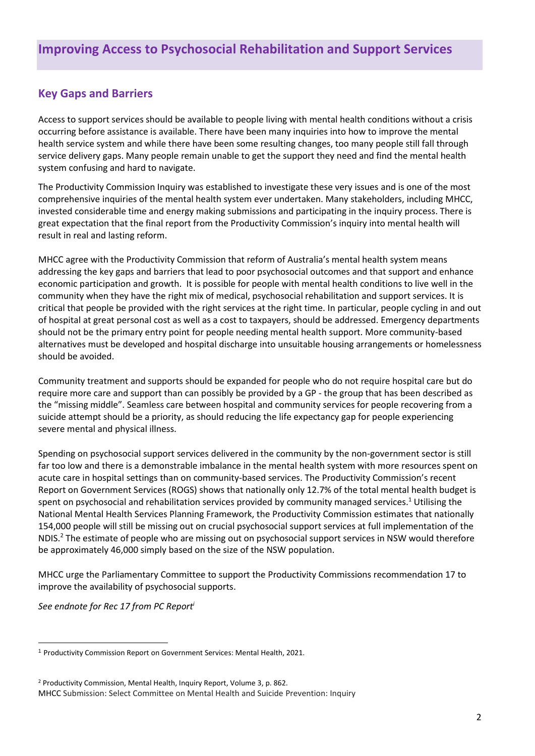### **Key Gaps and Barriers**

Access to support services should be available to people living with mental health conditions without a crisis occurring before assistance is available. There have been many inquiries into how to improve the mental health service system and while there have been some resulting changes, too many people still fall through service delivery gaps. Many people remain unable to get the support they need and find the mental health system confusing and hard to navigate.

The Productivity Commission Inquiry was established to investigate these very issues and is one of the most comprehensive inquiries of the mental health system ever undertaken. Many stakeholders, including MHCC, invested considerable time and energy making submissions and participating in the inquiry process. There is great expectation that the final report from the Productivity Commission's inquiry into mental health will result in real and lasting reform.

MHCC agree with the Productivity Commission that reform of Australia's mental health system means addressing the key gaps and barriers that lead to poor psychosocial outcomes and that support and enhance economic participation and growth. It is possible for people with mental health conditions to live well in the community when they have the right mix of medical, psychosocial rehabilitation and support services. It is critical that people be provided with the right services at the right time. In particular, people cycling in and out of hospital at great personal cost as well as a cost to taxpayers, should be addressed. Emergency departments should not be the primary entry point for people needing mental health support. More community-based alternatives must be developed and hospital discharge into unsuitable housing arrangements or homelessness should be avoided.

Community treatment and supports should be expanded for people who do not require hospital care but do require more care and support than can possibly be provided by a GP - the group that has been described as the "missing middle". Seamless care between hospital and community services for people recovering from a suicide attempt should be a priority, as should reducing the life expectancy gap for people experiencing severe mental and physical illness.

Spending on psychosocial support services delivered in the community by the non-government sector is still far too low and there is a demonstrable imbalance in the mental health system with more resources spent on acute care in hospital settings than on community-based services. The Productivity Commission's recent Report on Government Services (ROGS) shows that nationally only 12.7% of the total mental health budget is spent on psychosocial and rehabilitation services provided by community managed services.<sup>1</sup> Utilising the National Mental Health Services Planning Framework, the Productivity Commission estimates that nationally 154,000 people will still be missing out on crucial psychosocial support services at full implementation of the NDIS.<sup>2</sup> The estimate of people who are missing out on psychosocial support services in NSW would therefore be approximately 46,000 simply based on the size of the NSW population.

MHCC urge the Parliamentary Committee to support the Productivity Commissions recommendation 17 to improve the availability of psychosocial supports.

*See endnote for Rec 17 from PC Report<sup>i</sup>*

<sup>1</sup> Productivity Commission Report on Government Services: Mental Health, 2021.

<sup>2</sup> Productivity Commission, Mental Health, Inquiry Report, Volume 3, p. 862.

MHCC Submission: Select Committee on Mental Health and Suicide Prevention: Inquiry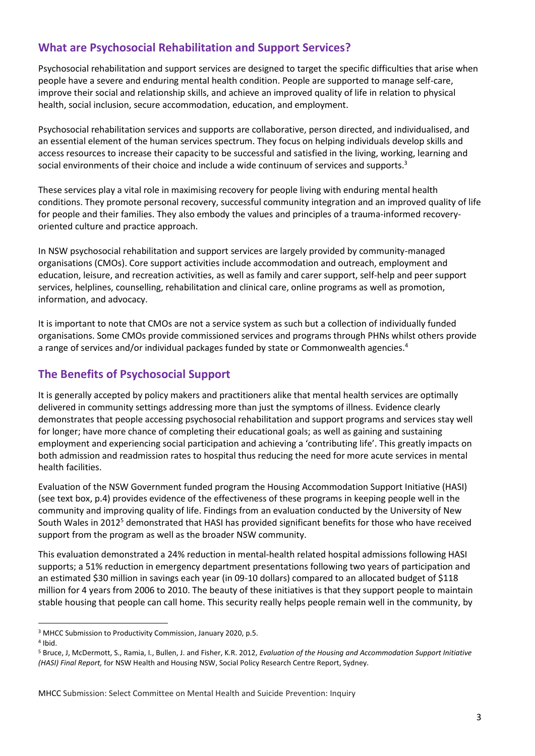# **What are Psychosocial Rehabilitation and Support Services?**

Psychosocial rehabilitation and support services are designed to target the specific difficulties that arise when people have a severe and enduring mental health condition. People are supported to manage self-care, improve their social and relationship skills, and achieve an improved quality of life in relation to physical health, social inclusion, secure accommodation, education, and employment.

Psychosocial rehabilitation services and supports are collaborative, person directed, and individualised, and an essential element of the human services spectrum. They focus on helping individuals develop skills and access resources to increase their capacity to be successful and satisfied in the living, working, learning and social environments of their choice and include a wide continuum of services and supports.<sup>3</sup>

These services play a vital role in maximising recovery for people living with enduring mental health conditions. They promote personal recovery, successful community integration and an improved quality of life for people and their families. They also embody the values and principles of a trauma-informed recoveryoriented culture and practice approach.

In NSW psychosocial rehabilitation and support services are largely provided by community-managed organisations (CMOs). Core support activities include accommodation and outreach, employment and education, leisure, and recreation activities, as well as family and carer support, self-help and peer support services, helplines, counselling, rehabilitation and clinical care, online programs as well as promotion, information, and advocacy.

It is important to note that CMOs are not a service system as such but a collection of individually funded organisations. Some CMOs provide commissioned services and programs through PHNs whilst others provide a range of services and/or individual packages funded by state or Commonwealth agencies.<sup>4</sup>

# **The Benefits of Psychosocial Support**

It is generally accepted by policy makers and practitioners alike that mental health services are optimally delivered in community settings addressing more than just the symptoms of illness. Evidence clearly demonstrates that people accessing psychosocial rehabilitation and support programs and services stay well for longer; have more chance of completing their educational goals; as well as gaining and sustaining employment and experiencing social participation and achieving a 'contributing life'. This greatly impacts on both admission and readmission rates to hospital thus reducing the need for more acute services in mental health facilities.

Evaluation of the NSW Government funded program the Housing Accommodation Support Initiative (HASI) (see text box, p.4) provides evidence of the effectiveness of these programs in keeping people well in the community and improving quality of life. Findings from an evaluation conducted by the University of New South Wales in 2012<sup>5</sup> demonstrated that HASI has provided significant benefits for those who have received support from the program as well as the broader NSW community.

This evaluation demonstrated a 24% reduction in mental-health related hospital admissions following HASI supports; a 51% reduction in emergency department presentations following two years of participation and an estimated \$30 million in savings each year (in 09-10 dollars) compared to an allocated budget of \$118 million for 4 years from 2006 to 2010. The beauty of these initiatives is that they support people to maintain stable housing that people can call home. This security really helps people remain well in the community, by

<sup>&</sup>lt;sup>3</sup> MHCC Submission to Productivity Commission, January 2020, p.5.

<sup>4</sup> Ibid.

<sup>5</sup> Bruce, J, McDermott, S., Ramia, I., Bullen, J. and Fisher, K.R. 2012, *Evaluation of the Housing and Accommodation Support Initiative (HASI) Final Report,* for NSW Health and Housing NSW, Social Policy Research Centre Report, Sydney.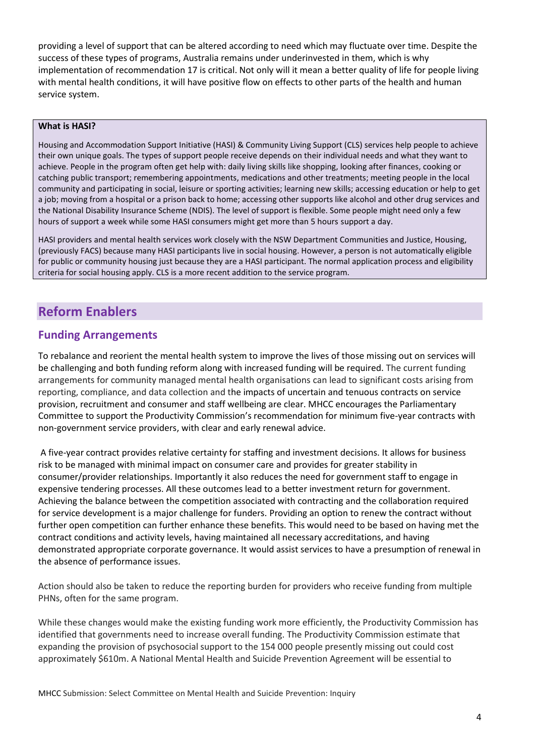providing a level of support that can be altered according to need which may fluctuate over time. Despite the success of these types of programs, Australia remains under underinvested in them, which is why implementation of recommendation 17 is critical. Not only will it mean a better quality of life for people living with mental health conditions, it will have positive flow on effects to other parts of the health and human service system.

#### **What is HASI?**

Housing and Accommodation Support Initiative (HASI) & Community Living Support (CLS) services help people to achieve their own unique goals. The types of support people receive depends on their individual needs and what they want to achieve. People in the program often get help with: daily living skills like shopping, looking after finances, cooking or catching public transport; remembering appointments, medications and other treatments; meeting people in the local community and participating in social, leisure or sporting activities; learning new skills; accessing education or help to get a job; moving from a hospital or a prison back to home; accessing other supports like alcohol and other drug services and the National Disability Insurance Scheme (NDIS). The level of support is flexible. Some people might need only a few hours of support a week while some HASI consumers might get more than 5 hours support a day.

HASI providers and mental health services work closely with the NSW Department Communities and Justice, Housing, (previously FACS) because many HASI participants live in social housing. However, a person is not automatically eligible for public or community housing just because they are a HASI participant. The normal application process and eligibility criteria for social housing apply. CLS is a more recent addition to the service program.

# **Reform Enablers**

#### **Funding Arrangements**

To rebalance and reorient the mental health system to improve the lives of those missing out on services will be challenging and both funding reform along with increased funding will be required. The current funding arrangements for community managed mental health organisations can lead to significant costs arising from reporting, compliance, and data collection and the impacts of uncertain and tenuous contracts on service provision, recruitment and consumer and staff wellbeing are clear. MHCC encourages the Parliamentary Committee to support the Productivity Commission's recommendation for minimum five-year contracts with non-government service providers, with clear and early renewal advice.

A five-year contract provides relative certainty for staffing and investment decisions. It allows for business risk to be managed with minimal impact on consumer care and provides for greater stability in consumer/provider relationships. Importantly it also reduces the need for government staff to engage in expensive tendering processes. All these outcomes lead to a better investment return for government. Achieving the balance between the competition associated with contracting and the collaboration required for service development is a major challenge for funders. Providing an option to renew the contract without further open competition can further enhance these benefits. This would need to be based on having met the contract conditions and activity levels, having maintained all necessary accreditations, and having demonstrated appropriate corporate governance. It would assist services to have a presumption of renewal in the absence of performance issues.

Action should also be taken to reduce the reporting burden for providers who receive funding from multiple PHNs, often for the same program.

While these changes would make the existing funding work more efficiently, the Productivity Commission has identified that governments need to increase overall funding. The Productivity Commission estimate that expanding the provision of psychosocial support to the 154 000 people presently missing out could cost approximately \$610m. A National Mental Health and Suicide Prevention Agreement will be essential to

MHCC Submission: Select Committee on Mental Health and Suicide Prevention: Inquiry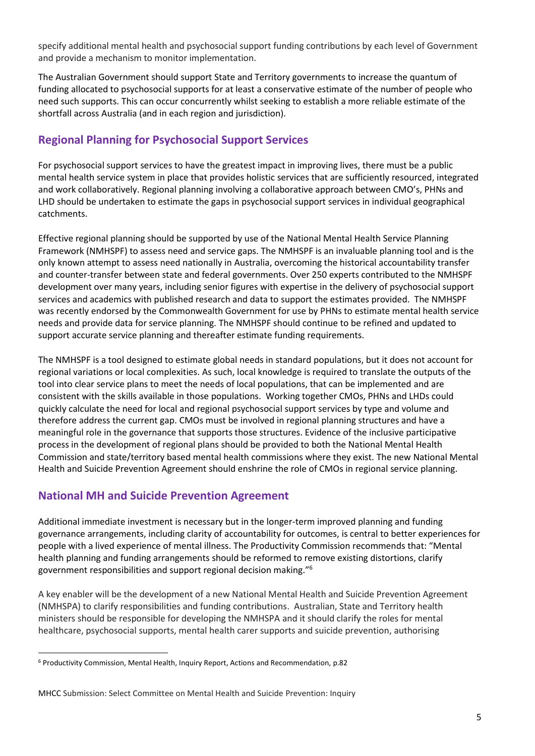specify additional mental health and psychosocial support funding contributions by each level of Government and provide a mechanism to monitor implementation.

The Australian Government should support State and Territory governments to increase the quantum of funding allocated to psychosocial supports for at least a conservative estimate of the number of people who need such supports. This can occur concurrently whilst seeking to establish a more reliable estimate of the shortfall across Australia (and in each region and jurisdiction).

# **Regional Planning for Psychosocial Support Services**

For psychosocial support services to have the greatest impact in improving lives, there must be a public mental health service system in place that provides holistic services that are sufficiently resourced, integrated and work collaboratively. Regional planning involving a collaborative approach between CMO's, PHNs and LHD should be undertaken to estimate the gaps in psychosocial support services in individual geographical catchments.

Effective regional planning should be supported by use of the National Mental Health Service Planning Framework (NMHSPF) to assess need and service gaps. The NMHSPF is an invaluable planning tool and is the only known attempt to assess need nationally in Australia, overcoming the historical accountability transfer and counter-transfer between state and federal governments. Over 250 experts contributed to the NMHSPF development over many years, including senior figures with expertise in the delivery of psychosocial support services and academics with published research and data to support the estimates provided. The NMHSPF was recently endorsed by the Commonwealth Government for use by PHNs to estimate mental health service needs and provide data for service planning. The NMHSPF should continue to be refined and updated to support accurate service planning and thereafter estimate funding requirements.

The NMHSPF is a tool designed to estimate global needs in standard populations, but it does not account for regional variations or local complexities. As such, local knowledge is required to translate the outputs of the tool into clear service plans to meet the needs of local populations, that can be implemented and are consistent with the skills available in those populations. Working together CMOs, PHNs and LHDs could quickly calculate the need for local and regional psychosocial support services by type and volume and therefore address the current gap. CMOs must be involved in regional planning structures and have a meaningful role in the governance that supports those structures. Evidence of the inclusive participative process in the development of regional plans should be provided to both the National Mental Health Commission and state/territory based mental health commissions where they exist. The new National Mental Health and Suicide Prevention Agreement should enshrine the role of CMOs in regional service planning.

### **National MH and Suicide Prevention Agreement**

Additional immediate investment is necessary but in the longer-term improved planning and funding governance arrangements, including clarity of accountability for outcomes, is central to better experiences for people with a lived experience of mental illness. The Productivity Commission recommends that: "Mental health planning and funding arrangements should be reformed to remove existing distortions, clarify government responsibilities and support regional decision making."<sup>6</sup>

A key enabler will be the development of a new National Mental Health and Suicide Prevention Agreement (NMHSPA) to clarify responsibilities and funding contributions. Australian, State and Territory health ministers should be responsible for developing the NMHSPA and it should clarify the roles for mental healthcare, psychosocial supports, mental health carer supports and suicide prevention, authorising

<sup>6</sup> Productivity Commission, Mental Health, Inquiry Report, Actions and Recommendation, p.82

MHCC Submission: Select Committee on Mental Health and Suicide Prevention: Inquiry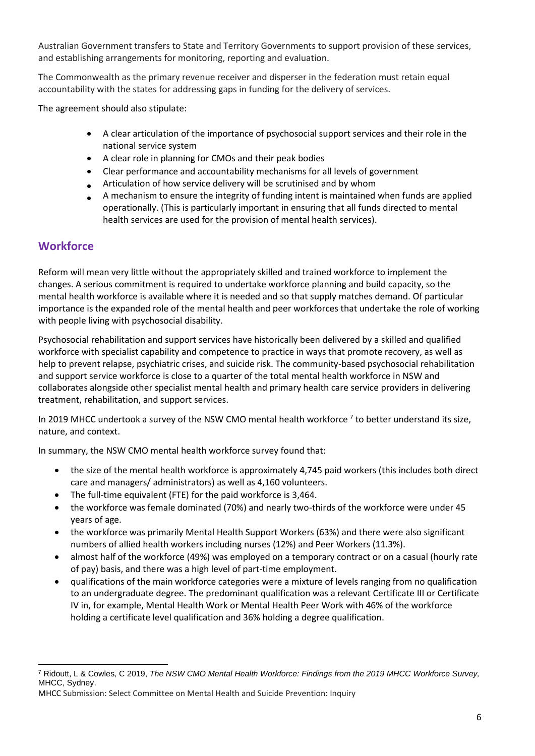Australian Government transfers to State and Territory Governments to support provision of these services, and establishing arrangements for monitoring, reporting and evaluation.

The Commonwealth as the primary revenue receiver and disperser in the federation must retain equal accountability with the states for addressing gaps in funding for the delivery of services.

The agreement should also stipulate:

- A clear articulation of the importance of psychosocial support services and their role in the national service system
- A clear role in planning for CMOs and their peak bodies
- Clear performance and accountability mechanisms for all levels of government
- Articulation of how service delivery will be scrutinised and by whom
- A mechanism to ensure the integrity of funding intent is maintained when funds are applied operationally. (This is particularly important in ensuring that all funds directed to mental health services are used for the provision of mental health services).

# **Workforce**

Reform will mean very little without the appropriately skilled and trained workforce to implement the changes. A serious commitment is required to undertake workforce planning and build capacity, so the mental health workforce is available where it is needed and so that supply matches demand. Of particular importance is the expanded role of the mental health and peer workforces that undertake the role of working with people living with psychosocial disability.

Psychosocial rehabilitation and support services have historically been delivered by a skilled and qualified workforce with specialist capability and competence to practice in ways that promote recovery, as well as help to prevent relapse, psychiatric crises, and suicide risk. The community-based psychosocial rehabilitation and support service workforce is close to a quarter of the total mental health workforce in NSW and collaborates alongside other specialist mental health and primary health care service providers in delivering treatment, rehabilitation, and support services.

In 2019 MHCC undertook a survey of the NSW CMO mental health workforce  $7$  to better understand its size, nature, and context.

In summary, the NSW CMO mental health workforce survey found that:

- the size of the mental health workforce is approximately 4,745 paid workers (this includes both direct care and managers/ administrators) as well as 4,160 volunteers.
- The full-time equivalent (FTE) for the paid workforce is 3,464.
- the workforce was female dominated (70%) and nearly two-thirds of the workforce were under 45 years of age.
- the workforce was primarily Mental Health Support Workers (63%) and there were also significant numbers of allied health workers including nurses (12%) and Peer Workers (11.3%).
- almost half of the workforce (49%) was employed on a temporary contract or on a casual (hourly rate of pay) basis, and there was a high level of part-time employment.
- qualifications of the main workforce categories were a mixture of levels ranging from no qualification to an undergraduate degree. The predominant qualification was a relevant Certificate III or Certificate IV in, for example, Mental Health Work or Mental Health Peer Work with 46% of the workforce holding a certificate level qualification and 36% holding a degree qualification.

<sup>7</sup> Ridoutt, L & Cowles, C 2019, *The NSW CMO Mental Health Workforce: Findings from the 2019 MHCC Workforce Survey,* MHCC, Sydney.

MHCC Submission: Select Committee on Mental Health and Suicide Prevention: Inquiry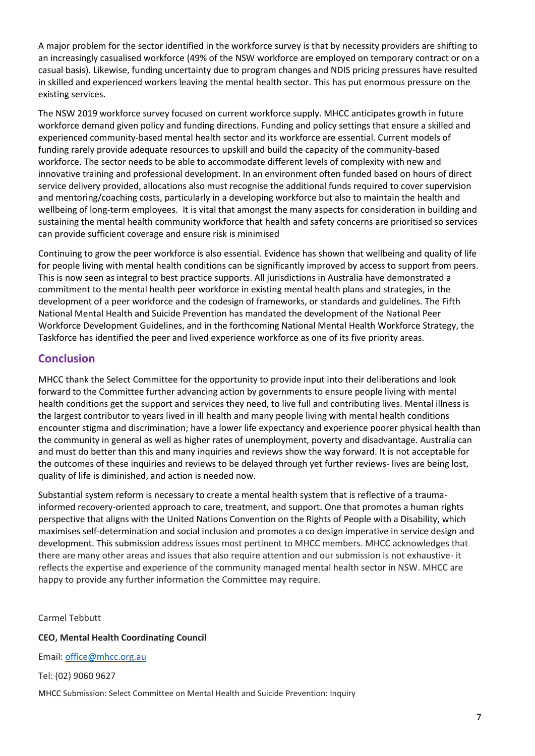A major problem for the sector identified in the workforce survey is that by necessity providers are shifting to an increasingly casualised workforce (49% of the NSW workforce are employed on temporary contract or on a casual basis). Likewise, funding uncertainty due to program changes and NDIS pricing pressures have resulted in skilled and experienced workers leaving the mental health sector. This has put enormous pressure on the existing services.

The NSW 2019 workforce survey focused on current workforce supply. MHCC anticipates growth in future workforce demand given policy and funding directions. Funding and policy settings that ensure a skilled and experienced community-based mental health sector and its workforce are essential. Current models of funding rarely provide adequate resources to upskill and build the capacity of the community-based workforce. The sector needs to be able to accommodate different levels of complexity with new and innovative training and professional development. In an environment often funded based on hours of direct service delivery provided, allocations also must recognise the additional funds required to cover supervision and mentoring/coaching costs, particularly in a developing workforce but also to maintain the health and wellbeing of long-term employees. It is vital that amongst the many aspects for consideration in building and sustaining the mental health community workforce that health and safety concerns are prioritised so services can provide sufficient coverage and ensure risk is minimised

Continuing to grow the peer workforce is also essential. Evidence has shown that wellbeing and quality of life for people living with mental health conditions can be significantly improved by access to support from peers. This is now seen as integral to best practice supports. All jurisdictions in Australia have demonstrated a commitment to the mental health peer workforce in existing mental health plans and strategies, in the development of a peer workforce and the codesign of frameworks, or standards and guidelines. The Fifth National Mental Health and Suicide Prevention has mandated the development of the National Peer Workforce Development Guidelines, and in the forthcoming National Mental Health Workforce Strategy, the Taskforce has identified the peer and lived experience workforce as one of its five priority areas.

### **Conclusion**

MHCC thank the Select Committee for the opportunity to provide input into their deliberations and look forward to the Committee further advancing action by governments to ensure people living with mental health conditions get the support and services they need, to live full and contributing lives. Mental illness is the largest contributor to years lived in ill health and many people living with mental health conditions encounter stigma and discrimination; have a lower life expectancy and experience poorer physical health than the community in general as well as higher rates of unemployment, poverty and disadvantage. Australia can and must do better than this and many inquiries and reviews show the way forward. It is not acceptable for the outcomes of these inquiries and reviews to be delayed through yet further reviews- lives are being lost, quality of life is diminished, and action is needed now.

Substantial system reform is necessary to create a mental health system that is reflective of a traumainformed recovery-oriented approach to care, treatment, and support. One that promotes a human rights perspective that aligns with the United Nations Convention on the Rights of People with a Disability, which maximises self-determination and social inclusion and promotes a co design imperative in service design and development. This submission address issues most pertinent to MHCC members. MHCC acknowledges that there are many other areas and issues that also require attention and our submission is not exhaustive- it reflects the expertise and experience of the community managed mental health sector in NSW. MHCC are happy to provide any further information the Committee may require.

#### Carmel Tebbutt

#### **CEO, Mental Health Coordinating Council**

Email: [office@mhcc.org.au](mailto:office@mhcc.org.au)

#### Tel: (02) 9060 9627

MHCC Submission: Select Committee on Mental Health and Suicide Prevention: Inquiry